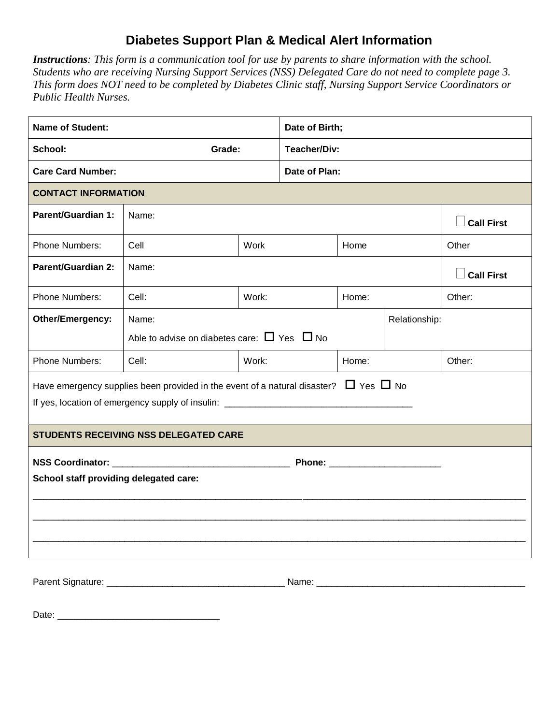## **Diabetes Support Plan & Medical Alert Information**

*Instructions: This form is a communication tool for use by parents to share information with the school. Students who are receiving Nursing Support Services (NSS) Delegated Care do not need to complete page 3. This form does NOT need to be completed by Diabetes Clinic staff, Nursing Support Service Coordinators or Public Health Nurses.* 

| <b>Name of Student:</b>                                                                        |                                       | Date of Birth;                                        |                     |                   |  |        |  |  |
|------------------------------------------------------------------------------------------------|---------------------------------------|-------------------------------------------------------|---------------------|-------------------|--|--------|--|--|
| School:<br>Grade:                                                                              |                                       |                                                       | <b>Teacher/Div:</b> |                   |  |        |  |  |
| <b>Care Card Number:</b>                                                                       |                                       |                                                       | Date of Plan:       |                   |  |        |  |  |
| <b>CONTACT INFORMATION</b>                                                                     |                                       |                                                       |                     |                   |  |        |  |  |
| <b>Parent/Guardian 1:</b>                                                                      | Name:                                 |                                                       |                     | <b>Call First</b> |  |        |  |  |
| Phone Numbers:                                                                                 | Cell                                  | Work<br>Home                                          |                     |                   |  | Other  |  |  |
| <b>Parent/Guardian 2:</b>                                                                      | Name:<br><b>Call First</b>            |                                                       |                     |                   |  |        |  |  |
| Phone Numbers:                                                                                 | Cell:                                 | Work:                                                 |                     | Home:             |  | Other: |  |  |
| Other/Emergency:                                                                               | Name:                                 | Relationship:                                         |                     |                   |  |        |  |  |
|                                                                                                |                                       | Able to advise on diabetes care: $\Box$ Yes $\Box$ No |                     |                   |  |        |  |  |
| <b>Phone Numbers:</b>                                                                          | Cell:                                 | Work:                                                 |                     | Home:             |  | Other: |  |  |
| Have emergency supplies been provided in the event of a natural disaster? $\Box$ Yes $\Box$ No |                                       |                                                       |                     |                   |  |        |  |  |
|                                                                                                | STUDENTS RECEIVING NSS DELEGATED CARE |                                                       |                     |                   |  |        |  |  |
| <b>NSS Coordinator:</b><br>School staff providing delegated care:                              |                                       |                                                       |                     |                   |  |        |  |  |
| Parent Signature:<br>Name:                                                                     |                                       |                                                       |                     |                   |  |        |  |  |

Date: \_\_\_\_\_\_\_\_\_\_\_\_\_\_\_\_\_\_\_\_\_\_\_\_\_\_\_\_\_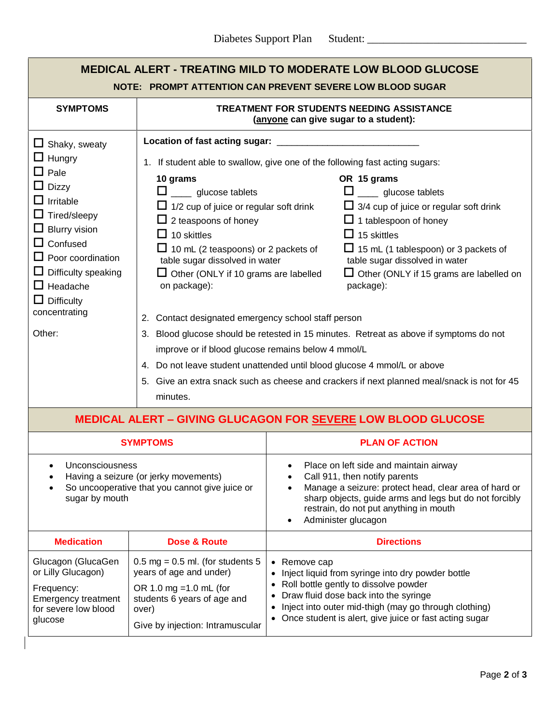| <b>MEDICAL ALERT - TREATING MILD TO MODERATE LOW BLOOD GLUCOSE</b><br>NOTE: PROMPT ATTENTION CAN PREVENT SEVERE LOW BLOOD SUGAR                                                                                                                                 |                                                                                                                                                                                                                                                                                                                                                                                                                  |                                                                                                                                                                                                                                                                                                                                                                                                                                                                                                                                                                                                                                                      |  |  |  |  |  |
|-----------------------------------------------------------------------------------------------------------------------------------------------------------------------------------------------------------------------------------------------------------------|------------------------------------------------------------------------------------------------------------------------------------------------------------------------------------------------------------------------------------------------------------------------------------------------------------------------------------------------------------------------------------------------------------------|------------------------------------------------------------------------------------------------------------------------------------------------------------------------------------------------------------------------------------------------------------------------------------------------------------------------------------------------------------------------------------------------------------------------------------------------------------------------------------------------------------------------------------------------------------------------------------------------------------------------------------------------------|--|--|--|--|--|
| <b>SYMPTOMS</b>                                                                                                                                                                                                                                                 | <b>TREATMENT FOR STUDENTS NEEDING ASSISTANCE</b><br>(anyone can give sugar to a student):                                                                                                                                                                                                                                                                                                                        |                                                                                                                                                                                                                                                                                                                                                                                                                                                                                                                                                                                                                                                      |  |  |  |  |  |
| $\Box$ Shaky, sweaty                                                                                                                                                                                                                                            | Location of fast acting sugar:                                                                                                                                                                                                                                                                                                                                                                                   |                                                                                                                                                                                                                                                                                                                                                                                                                                                                                                                                                                                                                                                      |  |  |  |  |  |
| $\Box$ Hungry<br>$\Box$ Pale<br>$\Box$ Dizzy<br>$\Box$ Irritable<br>$\Box$ Tired/sleepy<br>$\Box$ Blurry vision<br>$\Box$ Confused<br>$\Box$ Poor coordination<br>$\Box$ Difficulty speaking<br>$\Box$ Headache<br>$\Box$ Difficulty<br>concentrating<br>Other: | 10 grams<br>$\Box$ glucose tablets<br>$\Box$ 1/2 cup of juice or regular soft drink<br>$\Box$ 2 teaspoons of honey<br>$\Box$ 10 skittles<br>$\Box$ 10 mL (2 teaspoons) or 2 packets of<br>table sugar dissolved in water<br>$\Box$ Other (ONLY if 10 grams are labelled<br>on package):<br>2. Contact designated emergency school staff person<br>improve or if blood glucose remains below 4 mmol/L<br>minutes. | 1. If student able to swallow, give one of the following fast acting sugars:<br>OR 15 grams<br>$\square$ glucose tablets<br>$\Box$ 3/4 cup of juice or regular soft drink<br>$\Box$ 1 tablespoon of honey<br>$\Box$ 15 skittles<br>$\Box$ 15 mL (1 tablespoon) or 3 packets of<br>table sugar dissolved in water<br>$\Box$ Other (ONLY if 15 grams are labelled on<br>package):<br>3. Blood glucose should be retested in 15 minutes. Retreat as above if symptoms do not<br>4. Do not leave student unattended until blood glucose 4 mmol/L or above<br>5. Give an extra snack such as cheese and crackers if next planned meal/snack is not for 45 |  |  |  |  |  |
| <b>MEDICAL ALERT - GIVING GLUCAGON FOR SEVERE LOW BLOOD GLUCOSE</b>                                                                                                                                                                                             |                                                                                                                                                                                                                                                                                                                                                                                                                  |                                                                                                                                                                                                                                                                                                                                                                                                                                                                                                                                                                                                                                                      |  |  |  |  |  |
| <b>SYMPTOMS</b>                                                                                                                                                                                                                                                 |                                                                                                                                                                                                                                                                                                                                                                                                                  | <b>PLAN OF ACTION</b>                                                                                                                                                                                                                                                                                                                                                                                                                                                                                                                                                                                                                                |  |  |  |  |  |
| Unconsciousness<br>Having a seizure (or jerky movements)<br>So uncooperative that you cannot give juice or<br>sugar by mouth                                                                                                                                    |                                                                                                                                                                                                                                                                                                                                                                                                                  | Place on left side and maintain airway<br>Call 911, then notify parents<br>Manage a seizure: protect head, clear area of hard or<br>sharp objects, guide arms and legs but do not forcibly<br>restrain, do not put anything in mouth<br>Administer glucagon<br>$\bullet$                                                                                                                                                                                                                                                                                                                                                                             |  |  |  |  |  |
| <b>Medication</b>                                                                                                                                                                                                                                               | Dose & Route                                                                                                                                                                                                                                                                                                                                                                                                     | <b>Directions</b>                                                                                                                                                                                                                                                                                                                                                                                                                                                                                                                                                                                                                                    |  |  |  |  |  |
| Glucagon (GlucaGen<br>or Lilly Glucagon)<br>Frequency:<br><b>Emergency treatment</b><br>for severe low blood<br>glucose                                                                                                                                         | $0.5$ mg = 0.5 ml. (for students 5<br>years of age and under)<br>OR 1.0 mg = $1.0$ mL (for<br>students 6 years of age and<br>over)<br>Give by injection: Intramuscular                                                                                                                                                                                                                                           | • Remove cap<br>Inject liquid from syringe into dry powder bottle<br>$\bullet$<br>Roll bottle gently to dissolve powder<br>Draw fluid dose back into the syringe<br>Inject into outer mid-thigh (may go through clothing)<br>• Once student is alert, give juice or fast acting sugar                                                                                                                                                                                                                                                                                                                                                                |  |  |  |  |  |